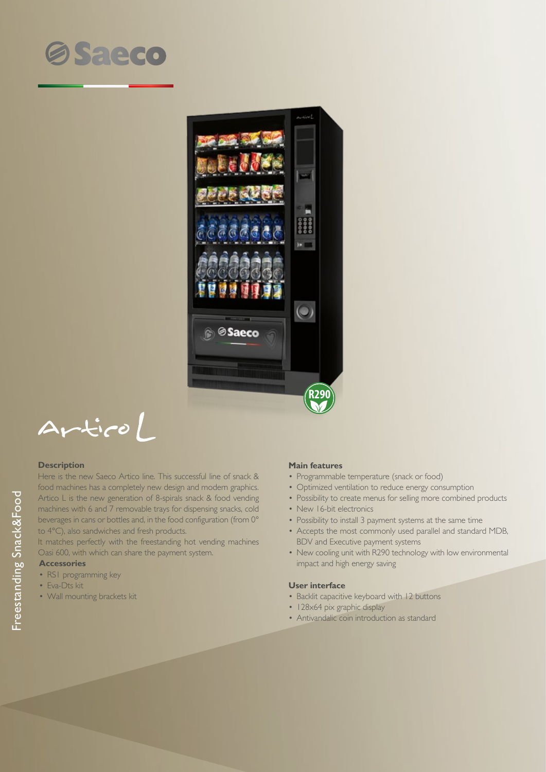



 $ArticoL$ 

### **Description**

Here is the new Saeco Artico line. This successful line of snack & food machines has a completely new design and modern graphics. Artico L is the new generation of 8-spirals snack & food vending machines with 6 and 7 removable trays for dispensing snacks, cold beverages in cans or bottles and, in the food configuration (from 0° to 4°C), also sandwiches and fresh products.

It matches perfectly with the freestanding hot vending machines Oasi 600, with which can share the payment system.

# **Accessories**

- RS1 programming key
- Eva-Dts kit
- Wall mounting brackets kit

#### **Main features**

- Programmable temperature (snack or food)
- Optimized ventilation to reduce energy consumption
- Possibility to create menus for selling more combined products
- New 16-bit electronics
- Possibility to install 3 payment systems at the same time
- Accepts the most commonly used parallel and standard MDB, BDV and Executive payment systems
- New cooling unit with R290 technology with low environmental impact and high energy saving

#### **User interface**

- Backlit capacitive keyboard with 12 buttons
- 128×64 pix graphic display
- Antivandalic coin introduction as standard